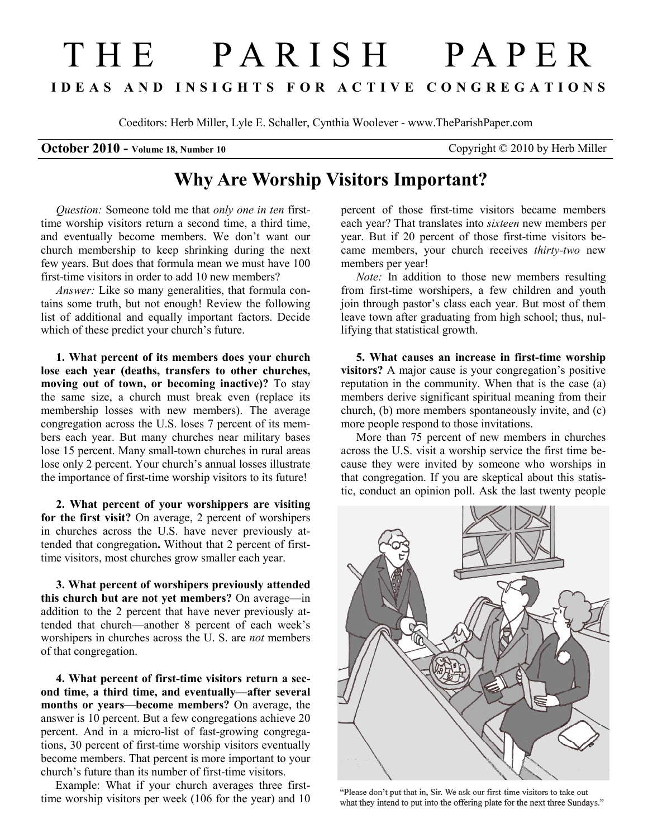## T H E P A R I S H P A P E R I D E A S A N D I N S I G H T S F O R A C T I V E C O N G R E G A T I O N S

Coeditors: Herb Miller, Lyle E. Schaller, Cynthia Woolever - www.TheParishPaper.com

## October 2010 - Volume 18, Number 10 Copyright © 2010 by Herb Miller

## Why Are Worship Visitors Important?

Question: Someone told me that only one in ten firsttime worship visitors return a second time, a third time, and eventually become members. We don't want our church membership to keep shrinking during the next few years. But does that formula mean we must have 100 first-time visitors in order to add 10 new members?

Answer: Like so many generalities, that formula contains some truth, but not enough! Review the following list of additional and equally important factors. Decide which of these predict your church's future.

1. What percent of its members does your church lose each year (deaths, transfers to other churches, moving out of town, or becoming inactive)? To stay the same size, a church must break even (replace its membership losses with new members). The average congregation across the U.S. loses 7 percent of its members each year. But many churches near military bases lose 15 percent. Many small-town churches in rural areas lose only 2 percent. Your church's annual losses illustrate the importance of first-time worship visitors to its future!

2. What percent of your worshippers are visiting for the first visit? On average, 2 percent of worshipers in churches across the U.S. have never previously attended that congregation. Without that 2 percent of firsttime visitors, most churches grow smaller each year.

3. What percent of worshipers previously attended this church but are not yet members? On average—in addition to the 2 percent that have never previously attended that church—another 8 percent of each week's worshipers in churches across the U.S. are *not* members of that congregation.

4. What percent of first-time visitors return a second time, a third time, and eventually—after several months or years—become members? On average, the answer is 10 percent. But a few congregations achieve 20 percent. And in a micro-list of fast-growing congregations, 30 percent of first-time worship visitors eventually become members. That percent is more important to your church's future than its number of first-time visitors.

 Example: What if your church averages three firsttime worship visitors per week (106 for the year) and 10 percent of those first-time visitors became members each year? That translates into sixteen new members per year. But if 20 percent of those first-time visitors became members, your church receives thirty-two new members per year!

Note: In addition to those new members resulting from first-time worshipers, a few children and youth join through pastor's class each year. But most of them leave town after graduating from high school; thus, nullifying that statistical growth.

5. What causes an increase in first-time worship visitors? A major cause is your congregation's positive reputation in the community. When that is the case (a) members derive significant spiritual meaning from their church, (b) more members spontaneously invite, and (c) more people respond to those invitations.

More than 75 percent of new members in churches across the U.S. visit a worship service the first time because they were invited by someone who worships in that congregation. If you are skeptical about this statistic, conduct an opinion poll. Ask the last twenty people



"Please don't put that in, Sir. We ask our first-time visitors to take out what they intend to put into the offering plate for the next three Sundays."